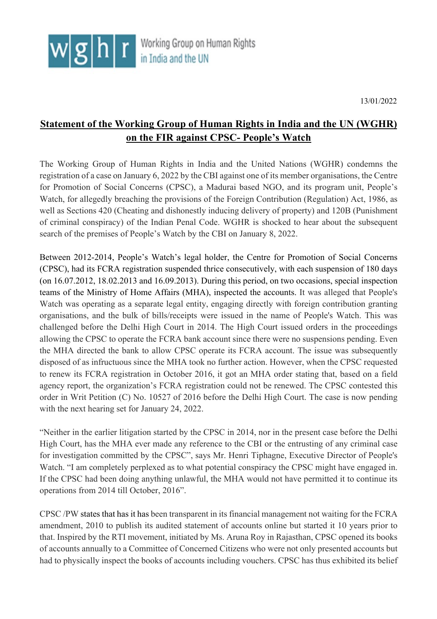13/01/2022

## **Statement of the Working Group of Human Rights in India and the UN (WGHR) on the FIR against CPSC- People's Watch**

The Working Group of Human Rights in India and the United Nations (WGHR) condemns the registration of a case on January 6, 2022 by the CBI against one of its member organisations, the Centre for Promotion of Social Concerns (CPSC), a Madurai based NGO, and its program unit, People's Watch, for allegedly breaching the provisions of the Foreign Contribution (Regulation) Act, 1986, as well as Sections 420 (Cheating and dishonestly inducing delivery of property) and 120B (Punishment of criminal conspiracy) of the Indian Penal Code. WGHR is shocked to hear about the subsequent search of the premises of People's Watch by the CBI on January 8, 2022.

Between 2012-2014, People's Watch's legal holder, the Centre for Promotion of Social Concerns (CPSC), had its FCRA registration suspended thrice consecutively, with each suspension of 180 days (on 16.07.2012, 18.02.2013 and 16.09.2013). During this period, on two occasions, special inspection teams of the Ministry of Home Affairs (MHA), inspected the accounts. It was alleged that People's Watch was operating as a separate legal entity, engaging directly with foreign contribution granting organisations, and the bulk of bills/receipts were issued in the name of People's Watch. This was challenged before the Delhi High Court in 2014. The High Court issued orders in the proceedings allowing the CPSC to operate the FCRA bank account since there were no suspensions pending. Even the MHA directed the bank to allow CPSC operate its FCRA account. The issue was subsequently disposed of as infructuous since the MHA took no further action. However, when the CPSC requested to renew its FCRA registration in October 2016, it got an MHA order stating that, based on a field agency report, the organization's FCRA registration could not be renewed. The CPSC contested this order in Writ Petition (C) No. 10527 of 2016 before the Delhi High Court. The case is now pending with the next hearing set for January 24, 2022.

"Neither in the earlier litigation started by the CPSC in 2014, nor in the present case before the Delhi High Court, has the MHA ever made any reference to the CBI or the entrusting of any criminal case for investigation committed by the CPSC", says Mr. Henri Tiphagne, Executive Director of People's Watch. "I am completely perplexed as to what potential conspiracy the CPSC might have engaged in. If the CPSC had been doing anything unlawful, the MHA would not have permitted it to continue its operations from 2014 till October, 2016".

CPSC /PW states that has it has been transparent in its financial management not waiting for the FCRA amendment, 2010 to publish its audited statement of accounts online but started it 10 years prior to that. Inspired by the RTI movement, initiated by Ms. Aruna Roy in Rajasthan, CPSC opened its books of accounts annually to a Committee of Concerned Citizens who were not only presented accounts but had to physically inspect the books of accounts including vouchers. CPSC has thus exhibited its belief